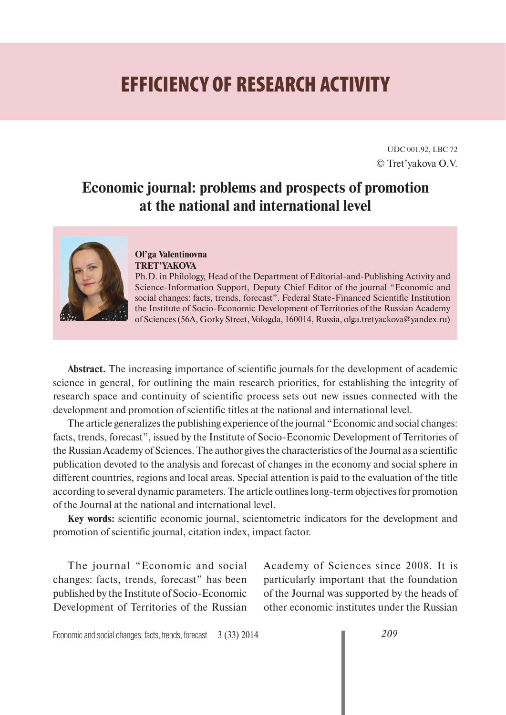# **EFFICIENCY OF RESEARCH ACTIVITY**

UDC 001.92, LBC 72 © Tret'yakova О.V.

# **Economic journal: problems and prospects of promotion at the national and international level**



#### **Ol'ga Valentinovna TRET'YAKOVA**

Ph.D. in Philology, Head of the Department of Editorial-and-Publishing Activity and Science-Information Support, Deputy Chief Editor of the journal "Economic and social changes: facts, trends, forecast". Federal State-Financed Scientific Institution the Institute of Socio-Economic Development of Territories of the Russian Academy of Sciences (56A, Gorky Street, Vologda, 160014, Russia, olga.tretyackova@yandex.ru)

**Abstract.** The increasing importance of scientific journals for the development of academic science in general, for outlining the main research priorities, for establishing the integrity of research space and continuity of scientific process sets out new issues connected with the development and promotion of scientific titles at the national and international level.

The article generalizes the publishing experience of the journal "Economic and social changes: facts, trends, forecast", issued by the Institute of Socio-Economic Development of Territories of the Russian Academy of Sciences. The author gives the characteristics of the Journal as a scientific publication devoted to the analysis and forecast of changes in the economy and social sphere in different countries, regions and local areas. Special attention is paid to the evaluation of the title according to several dynamic parameters. The article outlines long-term objectives for promotion of the Journal at the national and international level.

**Key words:** scientific economic journal, scientometric indicators for the development and promotion of scientific journal, citation index, impact factor.

The journal "Economic and social changes: facts, trends, forecast" has been published by the Institute of Socio-Economic Development of Territories of the Russian Academy of Sciences since 2008. It is particularly important that the foundation of the Journal was supported by the heads of other economic institutes under the Russian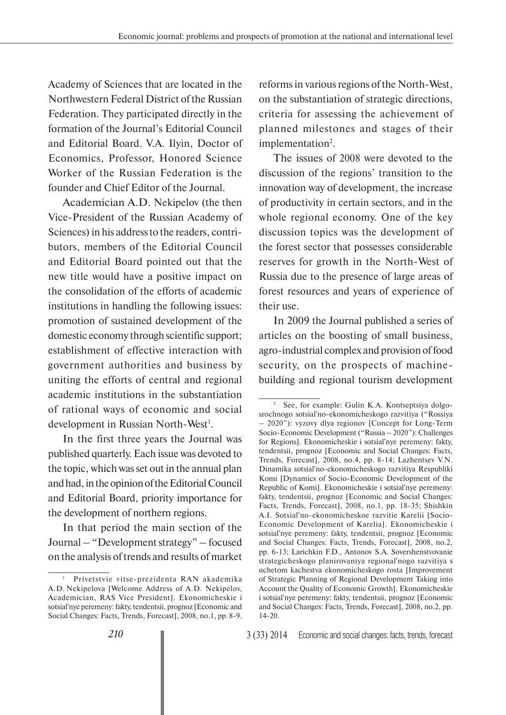Academy of Sciences that are located in the Northwestern Federal District of the Russian Federation. They participated directly in the formation of the Journal's Editorial Council and Editorial Board. V.A. Ilyin, Doctor of Economics, Professor, Honored Science Worker of the Russian Federation is the founder and Chief Editor of the Journal.

Academician A.D. Nekipelov (the then Vice-President of the Russian Academy of Sciences) in his address to the readers, contributors, members of the Editorial Council and Editorial Board pointed out that the new title would have a positive impact on the consolidation of the efforts of academic institutions in handling the following issues: promotion of sustained development of the domestic economy through scientific support; establishment of effective interaction with government authorities and business by uniting the efforts of central and regional academic institutions in the substantiation of rational ways of economic and social development in Russian North-West<sup>1</sup>.

In the first three years the Journal was published quarterly. Each issue was devoted to the topic, which was set out in the annual plan and had, in the opinion of the Editorial Council and Editorial Board, priority importance for the development of northern regions.

In that period the main section of the Journal – "Development strategy" – focused on the analysis of trends and results of market

reforms in various regions of the North-West, on the substantiation of strategic directions, criteria for assessing the achievement of planned milestones and stages of their implementation<sup>2</sup>.

The issues of 2008 were devoted to the discussion of the regions' transition to the innovation way of development, the increase of productivity in certain sectors, and in the whole regional economy. One of the key discussion topics was the development of the forest sector that possesses considerable reserves for growth in the North-West of Russia due to the presence of large areas of forest resources and years of experience of their use.

In 2009 the Journal published a series of articles on the boosting of small business, agro-industrial complex and provision of food security, on the prospects of machinebuilding and regional tourism development

<sup>1</sup> Privetstvie vitse-prezidenta RAN akademika A.D. Nekipelova [Welcome Address of A.D. Nekipelov, Academician, RAS Vice President]. Ekonomicheskie i sotsial'nye peremeny: fakty, tendentsii, prognoz [Economic and Social Changes: Facts, Trends, Forecast], 2008, no.1, pp. 8-9.

<sup>2</sup> See, for example: Gulin K.A. Kontseptsiya dolgosrochnogo sotsial'no-ekonomicheskogo razvitiya ("Rossiya – 2020"): vyzovy dlya regionov [Concept for Long-Term Socio-Economic Development ("Russia – 2020"): Challenges for Regions]. Ekonomicheskie i sotsial'nye peremeny: fakty, tendentsii, prognoz [Economic and Social Changes: Facts, Trends, Forecast], 2008, no.4, pp. 8-14; Lazhentsev V.N. Dinamika sotsial'no-ekonomicheskogo razvitiya Respubliki Komi [Dynamics of Socio-Economic Development of the Republic of Komi]. Ekonomicheskie i sotsial'nye peremeny: fakty, tendentsii, prognoz [Economic and Social Changes: Facts, Trends, Forecast], 2008, no.1, pp. 18-35; Shishkin A.I. Sotsial'no-ekonomicheskoe razvitie Karelii [Socio-Economic Development of Karelia]. Ekonomicheskie i sotsial'nye peremeny: fakty, tendentsii, prognoz [Economic and Social Changes: Facts, Trends, Forecast], 2008, no.2, pp. 6-13; Larichkin F.D., Antonov S.A. Sovershenstvovanie strategicheskogo planirovaniya regional'nogo razvitiya s uchetom kachestva ekonomicheskogo rosta [Improvement of Strategic Planning of Regional Development Taking into Account the Quality of Economic Growth]. Ekonomicheskie i sotsial'nye peremeny: fakty, tendentsii, prognoz [Economic and Social Changes: Facts, Trends, Forecast], 2008, no.2, pp. 14-20.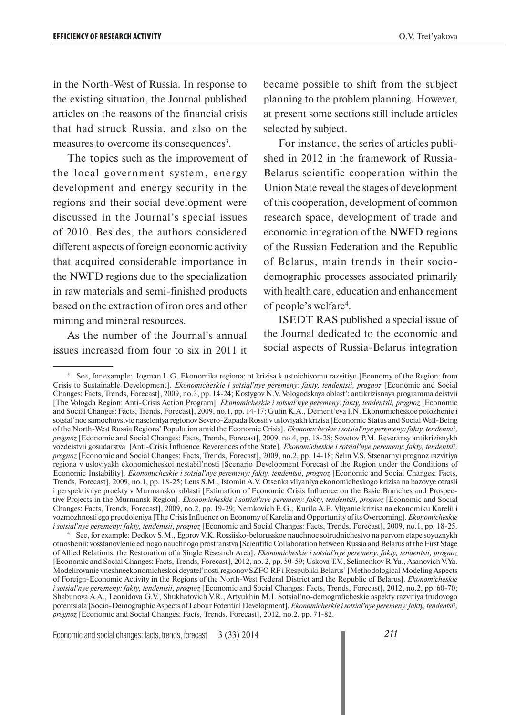in the North-West of Russia. In response to the existing situation, the Journal published articles on the reasons of the financial crisis that had struck Russia, and also on the measures to overcome its consequences<sup>3</sup>.

The topics such as the improvement of the local government system, energy development and energy security in the regions and their social development were discussed in the Journal's special issues of 2010. Besides, the authors considered different aspects of foreign economic activity that acquired considerable importance in the NWFD regions due to the specialization in raw materials and semi-finished products based on the extraction of iron ores and other mining and mineral resources.

As the number of the Journal's annual issues increased from four to six in 2011 it became possible to shift from the subject planning to the problem planning. However, at present some sections still include articles selected by subject.

For instance, the series of articles published in 2012 in the framework of Russia-Belarus scientific cooperation within the Union State reveal the stages of development of this cooperation, development of common research space, development of trade and economic integration of the NWFD regions of the Russian Federation and the Republic of Belarus, main trends in their sociodemographic processes associated primarily with health care, education and enhancement of people's welfare<sup>4</sup>.

ISEDT RAS published a special issue of the Journal dedicated to the economic and social aspects of Russia-Belarus integration

4 See, for example: Dedkov S.M., Egorov V.K. Rossiisko-belorusskoe nauchnoe sotrudnichestvo na pervom etape soyuznykh otnoshenii: vosstanovlenie edinogo nauchnogo prostranstva [Scientific Collaboration between Russia and Belarus at the First Stage of Allied Relations: the Restoration of a Single Research Area]. *Ekonomicheskie i sotsial'nye peremeny: fakty, tendentsii, prognoz* [Economic and Social Changes: Facts, Trends, Forecast], 2012, no. 2, pp. 50-59; Uskova T.V., Selimenkov R.Yu., Asanovich V.Ya. Modelirovanie vneshneekonomicheskoi deyatel'nosti regionov SZFO RF i Respubliki Belarus' [Methodological Modeling Aspects of Foreign-Economic Activity in the Regions of the North-West Federal District and the Republic of Belarus]. *Ekonomicheskie i sotsial'nye peremeny: fakty, tendentsii, prognoz* [Economic and Social Changes: Facts, Trends, Forecast], 2012, no.2, pp. 60-70; Shabunova A.A., Leonidova G.V., Shukhatovich V.R., Artyukhin M.I. Sotsial'no-demograficheskie aspekty razvitiya trudovogo potentsiala [Socio-Demographic Aspects of Labour Potential Development]. *Ekonomicheskie i sotsial'nye peremeny: fakty, tendentsii, prognoz* [Economic and Social Changes: Facts, Trends, Forecast], 2012, no.2, pp. 71-82.

<sup>3</sup> See, for example: Iogman L.G. Ekonomika regiona: ot krizisa k ustoichivomu razvitiyu [Economy of the Region: from Crisis to Sustainable Development]. *Ekonomicheskie i sotsial'nye peremeny: fakty, tendentsii, prognoz* [Economic and Social Changes: Facts, Trends, Forecast], 2009, no.3, pp. 14-24; Kostygov N.V. Vologodskaya oblast': antikrizisnaya programma deistvii [The Vologda Region: Anti-Crisis Action Program]. *Ekonomicheskie i sotsial'nye peremeny: fakty, tendentsii, prognoz* [Economic and Social Changes: Facts, Trends, Forecast], 2009, no.1, pp. 14-17; Gulin K.A., Dement'eva I.N. Ekonomicheskoe polozhenie i sotsial'noe samochuvstvie naseleniya regionov Severo-Zapada Rossii v usloviyakh krizisa [Economic Status and Social Well-Being of the North-West Russia Regions' Population amid the Economic Crisis]. *Ekonomicheskie i sotsial'nye peremeny: fakty, tendentsii, prognoz* [Economic and Social Changes: Facts, Trends, Forecast], 2009, no.4, pp. 18-28; Sovetov P.M. Reveransy antikrizisnykh vozdeistvii gosudarstva [Anti-Crisis Influence Reverences of the State]. *Ekonomicheskie i sotsial'nye peremeny: fakty, tendentsii, prognoz* [Economic and Social Changes: Facts, Trends, Forecast], 2009, no.2, pp. 14-18; Selin V.S. Stsenarnyi prognoz razvitiya regiona v usloviyakh ekonomicheskoi nestabil'nosti [Scenario Development Forecast of the Region under the Conditions of Economic Instability]. *Ekonomicheskie i sotsial'nye peremeny: fakty, tendentsii, prognoz* [Economic and Social Changes: Facts, Trends, Forecast], 2009, no.1, pp. 18-25; Leus S.M., Istomin A.V. Otsenka vliyaniya ekonomicheskogo krizisa na bazovye otrasli i perspektivnye proekty v Murmanskoi oblasti [Estimation of Economic Crisis Influence on the Basic Branches and Prospective Projects in the Murmansk Region]. *Ekonomicheskie i sotsial'nye peremeny: fakty, tendentsii, prognoz* [Economic and Social Changes: Facts, Trends, Forecast], 2009, no.2, pp. 19-29; Nemkovich E.G., Kurilo A.E. Vliyanie krizisa na ekonomiku Karelii i vozmozhnosti ego preodoleniya [The Crisis Influence on Economy of Karelia and Opportunity of its Overcoming]. *Ekonomicheskie i sotsial'nye peremeny: fakty, tendentsii, prognoz* [Economic and Social Changes: Facts, Trends, Forecast], 2009, no.1, pp. 18-25.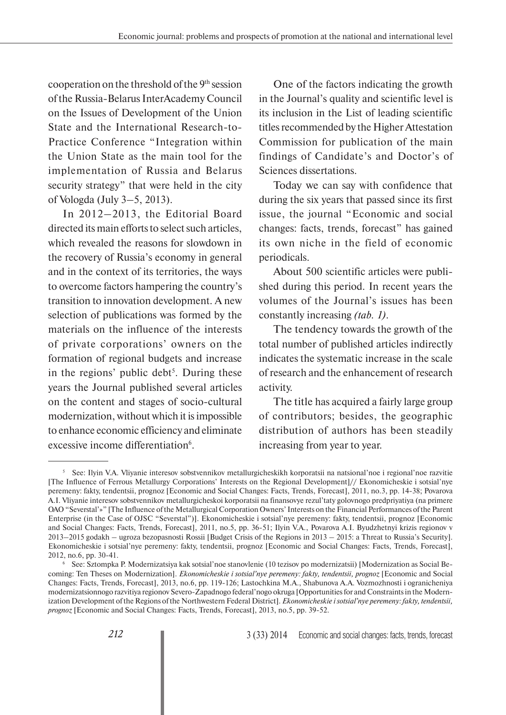cooperation on the threshold of the 9th session of the Russia-Belarus InterAcademy Council on the Issues of Development of the Union State and the International Research-to-Practice Conference "Integration within the Union State as the main tool for the implementation of Russia and Belarus security strategy" that were held in the city of Vologda (July 3–5, 2013).

In 2012–2013, the Editorial Board directed its main efforts to select such articles, which revealed the reasons for slowdown in the recovery of Russia's economy in general and in the context of its territories, the ways to overcome factors hampering the country's transition to innovation development. A new selection of publications was formed by the materials on the influence of the interests of private corporations' owners on the formation of regional budgets and increase in the regions' public debt<sup>5</sup>. During these years the Journal published several articles on the content and stages of socio-cultural modernization, without which it is impossible to enhance economic efficiency and eliminate excessive income differentiation<sup>6</sup>.

One of the factors indicating the growth in the Journal's quality and scientific level is its inclusion in the List of leading scientific titles recommended by the Higher Attestation Commission for publication of the main findings of Candidate's and Doctor's of Sciences dissertations.

Today we can say with confidence that during the six years that passed since its first issue, the journal "Economic and social changes: facts, trends, forecast" has gained its own niche in the field of economic periodicals.

About 500 scientific articles were published during this period. In recent years the volumes of the Journal's issues has been constantly increasing *(tab. 1)*.

The tendency towards the growth of the total number of published articles indirectly indicates the systematic increase in the scale of research and the enhancement of research activity.

The title has acquired a fairly large group of contributors; besides, the geographic distribution of authors has been steadily increasing from year to year.

<sup>5</sup> See: Ilyin V.A. Vliyanie interesov sobstvennikov metallurgicheskikh korporatsii na natsional'noe i regional'noe razvitie [The Influence of Ferrous Metallurgy Corporations' Interests on the Regional Development]// Ekonomicheskie i sotsial'nye peremeny: fakty, tendentsii, prognoz [Economic and Social Changes: Facts, Trends, Forecast], 2011, no.3, pp. 14-38; Povarova A.I. Vliyanie interesov sobstvennikov metallurgicheskoi korporatsii na finansovye rezul'taty golovnogo predpriyatiya (na primere OAO "Severstal'»" [The Influence of the Metallurgical Corporation Owners' Interests on the Financial Performances of the Parent Enterprise (in the Case of OJSC "Severstal")]. Ekonomicheskie i sotsial'nye peremeny: fakty, tendentsii, prognoz [Economic and Social Changes: Facts, Trends, Forecast], 2011, no.5, pp. 36-51; Ilyin V.A., Povarova A.I. Byudzhetnyi krizis regionov v 2013–2015 godakh – ugroza bezopasnosti Rossii [Budget Crisis of the Regions in 2013 – 2015: a Threat to Russia's Security]. Ekonomicheskie i sotsial'nye peremeny: fakty, tendentsii, prognoz [Economic and Social Changes: Facts, Trends, Forecast], 2012, no.6, pp. 30-41. 6

See: Sztompka P. Modernizatsiya kak sotsial'noe stanovlenie (10 tezisov po modernizatsii) [Modernization as Social Becoming: Ten Theses on Modernization]. *Ekonomicheskie i sotsial'nye peremeny: fakty, tendentsii, prognoz* [Economic and Social Changes: Facts, Trends, Forecast], 2013, no.6, pp. 119-126; Lastochkina M.A., Shabunova A.A. Vozmozhnosti i ogranicheniya modernizatsionnogo razvitiya regionov Severo-Zapadnogo federal'nogo okruga [Opportunities for and Constraints in the Modernization Development of the Regions of the Northwestern Federal District]. *Ekonomicheskie i sotsial'nye peremeny: fakty, tendentsii, prognoz* [Economic and Social Changes: Facts, Trends, Forecast], 2013, no.5, pp. 39-52.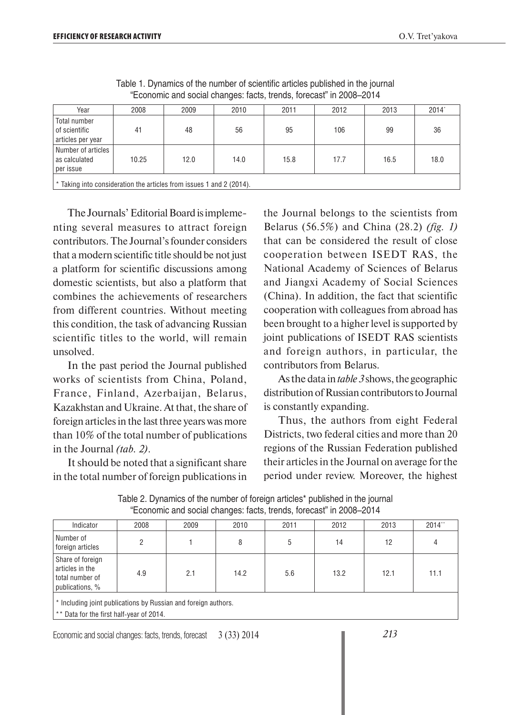| Year                                                                                                      | 2008 | 2009 | 2010 | 2011 | 2012 | 2013 | 2014" |
|-----------------------------------------------------------------------------------------------------------|------|------|------|------|------|------|-------|
| Total number<br>l of scientific<br>articles per year                                                      | 41   | 48   | 56   | 95   | 106  | 99   | 36    |
| Number of articles<br>17.7<br>10.25<br>12.0<br>14.0<br>15.8<br>16.5<br>18.0<br>as calculated<br>per issue |      |      |      |      |      |      |       |
| $\mid$ * Taking into consideration the articles from issues 1 and 2 (2014).                               |      |      |      |      |      |      |       |

Table 1. Dynamics of the number of scientific articles published in the journal "Economic and social changes: facts, trends, forecast" in 2008–2014

The Journals' Editorial Board is implementing several measures to attract foreign contributors. The Journal's founder considers that a modern scientific title should be not just a platform for scientific discussions among domestic scientists, but also a platform that combines the achievements of researchers from different countries. Without meeting this condition, the task of advancing Russian scientific titles to the world, will remain unsolved.

In the past period the Journal published works of scientists from China, Poland, France, Finland, Azerbaijan, Belarus, Kazakhstan and Ukraine. At that, the share of foreign articles in the last three years was more than 10% of the total number of publications in the Journal *(tab. 2)*.

It should be noted that a significant share in the total number of foreign publications in the Journal belongs to the scientists from Belarus (56.5%) and China (28.2) *(fig. 1)* that can be considered the result of close cooperation between ISEDT RAS, the National Academy of Sciences of Belarus and Jiangxi Academy of Social Sciences (China). In addition, the fact that scientific cooperation with colleagues from abroad has been brought to a higher level is supported by joint publications of ISEDT RAS scientists and foreign authors, in particular, the contributors from Belarus.

As the data in *table 3* shows, the geographic distribution of Russian contributors to Journal is constantly expanding.

Thus, the authors from eight Federal Districts, two federal cities and more than 20 regions of the Russian Federation published their articles in the Journal on average for the period under review. Moreover, the highest

| Indicator                                                                 | 2008 | 2009 | 2010 | 2011 | 2012 | 2013 | $2014$ <sup>**</sup> |
|---------------------------------------------------------------------------|------|------|------|------|------|------|----------------------|
| Number of<br>foreign articles                                             |      |      |      | b    | 14   | 12   |                      |
| Share of foreign<br>articles in the<br>total number of<br>publications, % | 4.9  | 2.1  | 14.2 | 5.6  | 13.2 | 12.1 | 11.1                 |

Table 2. Dynamics of the number of foreign articles\* published in the journal "Economic and social changes: facts, trends, forecast" in 2008–2014

\* Including joint publications by Russian and foreign authors.

\*\* Data for the first half-year of 2014.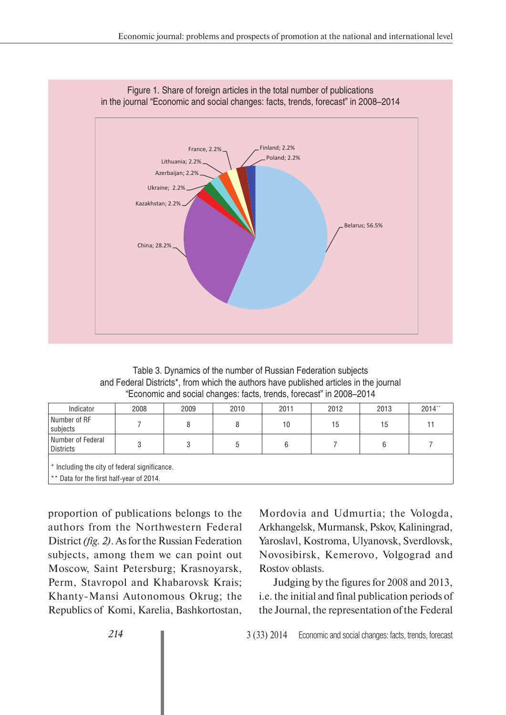

Figure 1. Share of foreign articles in the total number of publications in the journal "Economic and social changes: facts, trends, forecast" in 2008–2014

Table 3. Dynamics of the number of Russian Federation subjects and Federal Districts\*, from which the authors have published articles in the journal "Economic and social changes: facts, trends, forecast" in 2008–2014

| Indicator                                                                                 | 2008 | 2009 | 2010 | 2011 | 2012 | 2013 | $2014$ ** |
|-------------------------------------------------------------------------------------------|------|------|------|------|------|------|-----------|
| Number of RF<br>subjects                                                                  |      | 8    |      | 10   | 15   | 15   |           |
| Number of Federal<br><b>Districts</b>                                                     | o    | 3    |      | 6    |      | 6    |           |
| * Including the city of federal significance.<br>** Data for the first half-year of 2014. |      |      |      |      |      |      |           |

proportion of publications belongs to the authors from the Northwestern Federal District *(fig. 2)*. As for the Russian Federation subjects, among them we can point out Moscow, Saint Petersburg; Krasnoyarsk, Perm, Stavropol and Khabarovsk Krais; Khanty-Mansi Autonomous Okrug; the Republics of Komi, Karelia, Bashkortostan,

Mordovia and Udmurtia; the Vologda, Arkhangelsk, Murmansk, Pskov, Kaliningrad, Yaroslavl, Kostroma, Ulyanovsk, Sverdlovsk, Novosibirsk, Kemerovo, Volgograd and Rostov oblasts.

Judging by the figures for 2008 and 2013, i.e. the initial and final publication periods of the Journal, the representation of the Federal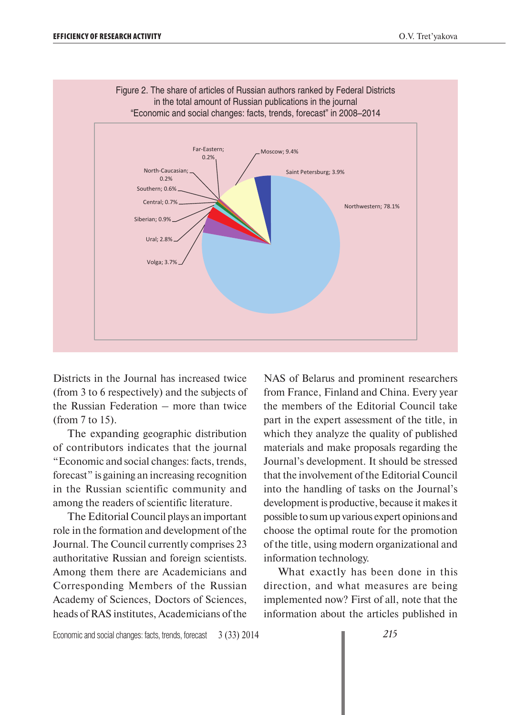

Figure 2. The share of articles of Russian authors ranked by Federal Districts in the total amount of Russian publications in the journal

Districts in the Journal has increased twice (from 3 to 6 respectively) and the subjects of the Russian Federation – more than twice (from 7 to 15).

The expanding geographic distribution of contributors indicates that the journal "Economic and social changes: facts, trends, forecast" is gaining an increasing recognition in the Russian scientific community and among the readers of scientific literature.

The Editorial Council plays an important role in the formation and development of the Journal. The Council currently comprises 23 authoritative Russian and foreign scientists. Among them there are Academicians and Corresponding Members of the Russian Academy of Sciences, Doctors of Sciences, heads of RAS institutes, Academicians of the

NAS of Belarus and prominent researchers from France, Finland and China. Every year the members of the Editorial Council take part in the expert assessment of the title, in which they analyze the quality of published materials and make proposals regarding the Journal's development. It should be stressed that the involvement of the Editorial Council into the handling of tasks on the Journal's development is productive, because it makes it possible to sum up various expert opinions and choose the optimal route for the promotion of the title, using modern organizational and information technology.

What exactly has been done in this direction, and what measures are being implemented now? First of all, note that the information about the articles published in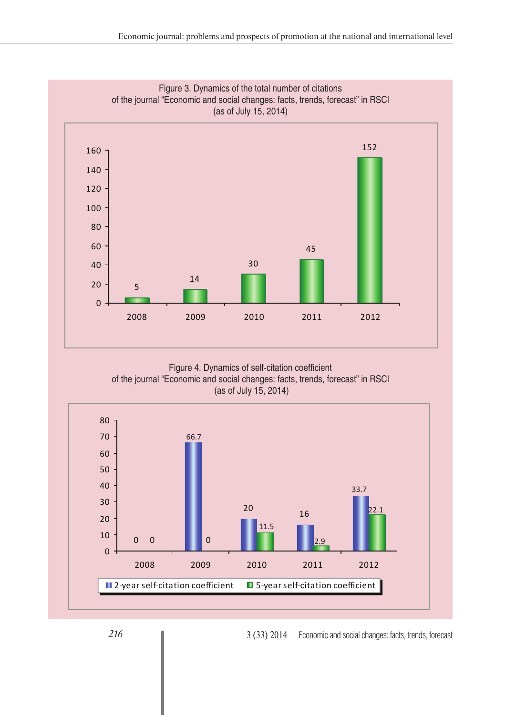

Figure 4. Dynamics of self-citation coefficient of the journal "Economic and social changes: facts, trends, forecast" in RSCI (as of July 15, 2014)

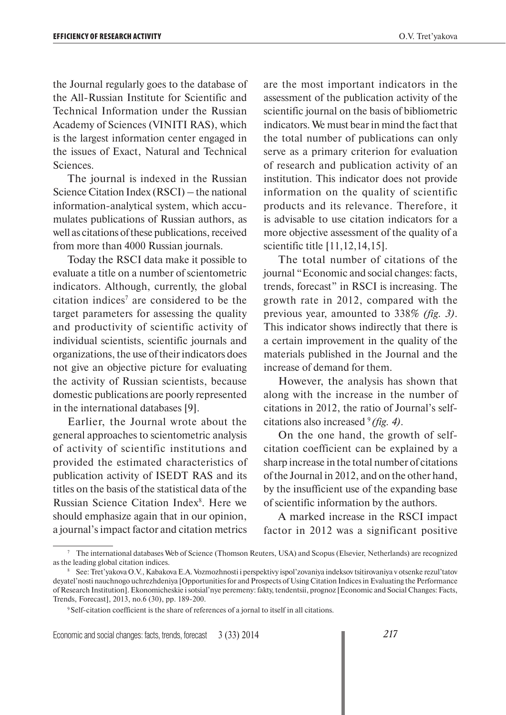the Journal regularly goes to the database of the All-Russian Institute for Scientific and Technical Information under the Russian Academy of Sciences (VINITI RAS), which is the largest information center engaged in the issues of Exact, Natural and Technical Sciences.

The journal is indexed in the Russian Science Citation Index (RSCI) – the national information-analytical system, which accumulates publications of Russian authors, as well as citations of these publications, received from more than 4000 Russian journals.

Today the RSCI data make it possible to evaluate a title on a number of scientometric indicators. Although, currently, the global citation indices<sup> $7$ </sup> are considered to be the target parameters for assessing the quality and productivity of scientific activity of individual scientists, scientific journals and organizations, the use of their indicators does not give an objective picture for evaluating the activity of Russian scientists, because domestic publications are poorly represented in the international databases [9].

Earlier, the Journal wrote about the general approaches to scientometric analysis of activity of scientific institutions and provided the estimated characteristics of publication activity of ISEDT RAS and its titles on the basis of the statistical data of the Russian Science Citation Index<sup>8</sup>. Here we should emphasize again that in our opinion, a journal's impact factor and citation metrics

are the most important indicators in the assessment of the publication activity of the scientific journal on the basis of bibliometric indicators. We must bear in mind the fact that the total number of publications can only serve as a primary criterion for evaluation of research and publication activity of an institution. This indicator does not provide information on the quality of scientific products and its relevance. Therefore, it is advisable to use citation indicators for a more objective assessment of the quality of a scientific title [11,12,14,15].

The total number of citations of the journal "Economic and social changes: facts, trends, forecast" in RSCI is increasing. The growth rate in 2012, compared with the previous year, amounted to 338% *(fig. 3)*. This indicator shows indirectly that there is a certain improvement in the quality of the materials published in the Journal and the increase of demand for them.

However, the analysis has shown that along with the increase in the number of citations in 2012, the ratio of Journal's selfcitations also increased 9 *(fig. 4)*.

On the one hand, the growth of selfcitation coefficient can be explained by a sharp increase in the total number of citations of the Journal in 2012, and on the other hand, by the insufficient use of the expanding base of scientific information by the authors.

A marked increase in the RSCI impact factor in 2012 was a significant positive

<sup>7</sup> The international databases Web of Science (Thomson Reuters, USA) and Scopus (Elsevier, Netherlands) are recognized as the leading global citation indices.

<sup>8</sup> See: Tret'yakova O.V., Kabakova E.A. Vozmozhnosti i perspektivy ispol'zovaniya indeksov tsitirovaniya v otsenke rezul'tatov deyatel'nosti nauchnogo uchrezhdeniya [Opportunities for and Prospects of Using Citation Indices in Evaluating the Performance of Research Institution]. Ekonomicheskie i sotsial'nye peremeny: fakty, tendentsii, prognoz [Economic and Social Changes: Facts, Trends, Forecast], 2013, no.6 (30), pp. 189-200.

<sup>&</sup>lt;sup>9</sup> Self-citation coefficient is the share of references of a jornal to itself in all citations.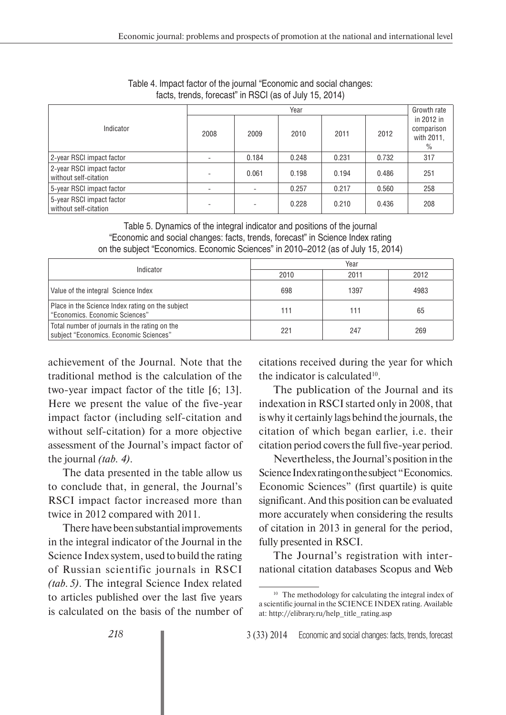|                                                    | Year |       |       |       |       |                                                |
|----------------------------------------------------|------|-------|-------|-------|-------|------------------------------------------------|
| Indicator                                          | 2008 | 2009  | 2010  | 2011  | 2012  | in 2012 in<br>comparison<br>with 2011,<br>$\%$ |
| 2-year RSCI impact factor                          |      | 0.184 | 0.248 | 0.231 | 0.732 | 317                                            |
| 2-year RSCI impact factor<br>without self-citation |      | 0.061 | 0.198 | 0.194 | 0.486 | 251                                            |
| 5-year RSCI impact factor                          |      |       | 0.257 | 0.217 | 0.560 | 258                                            |
| 5-year RSCI impact factor<br>without self-citation |      |       | 0.228 | 0.210 | 0.436 | 208                                            |

Table 4. Impact factor of the journal "Economic and social changes: facts, trends, forecast" in RSCI (as of July 15, 2014)

Table 5. Dynamics of the integral indicator and positions of the journal "Economic and social changes: facts, trends, forecast" in Science Index rating on the subject "Economics. Economic Sciences" in 2010–2012 (as of July 15, 2014)

| Indicator                                                                               | Year |      |      |  |  |
|-----------------------------------------------------------------------------------------|------|------|------|--|--|
|                                                                                         | 2010 | 2011 | 2012 |  |  |
| Value of the integral Science Index                                                     | 698  | 1397 | 4983 |  |  |
| Place in the Science Index rating on the subject<br>"Economics. Economic Sciences"      | 111  | 111  | 65   |  |  |
| Total number of journals in the rating on the<br>subject "Economics. Economic Sciences" | 221  | 247  | 269  |  |  |

achievement of the Journal. Note that the traditional method is the calculation of the two-year impact factor of the title [6; 13]. Here we present the value of the five-year impact factor (including self-citation and without self-citation) for a more objective assessment of the Journal's impact factor of the journal *(tab. 4)*.

The data presented in the table allow us to conclude that, in general, the Journal's RSCI impact factor increased more than twice in 2012 compared with 2011.

There have been substantial improvements in the integral indicator of the Journal in the Science Index system, used to build the rating of Russian scientific journals in RSCI *(tab. 5)*. The integral Science Index related to articles published over the last five years is calculated on the basis of the number of citations received during the year for which the indicator is calculated $10$ .

The publication of the Journal and its indexation in RSCI started only in 2008, that is why it certainly lags behind the journals, the citation of which began earlier, i.e. their citation period covers the full five-year period.

Nevertheless, the Journal's position in the Science Index rating on the subject "Economics. Economic Sciences" (first quartile) is quite significant. And this position can be evaluated more accurately when considering the results of citation in 2013 in general for the period, fully presented in RSCI.

The Journal's registration with international citation databases Scopus and Web

<sup>&</sup>lt;sup>10</sup> The methodology for calculating the integral index of a scientific journal in the SCIENCE INDEX rating. Available at: http://elibrary.ru/help\_title\_rating.asp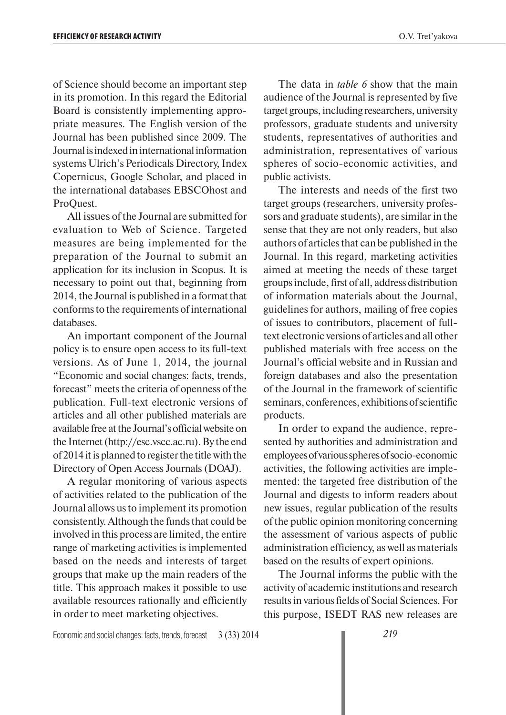of Science should become an important step in its promotion. In this regard the Editorial Board is consistently implementing appropriate measures. The English version of the Journal has been published since 2009. The Journal is indexed in international information systems Ulrich's Periodicals Directory, Index Copernicus, Google Scholar, and placed in the international databases EBSCOhost and ProQuest.

All issues of the Journal are submitted for evaluation to Web of Science. Targeted measures are being implemented for the preparation of the Journal to submit an application for its inclusion in Scopus. It is necessary to point out that, beginning from 2014, the Journal is published in a format that conforms to the requirements of international databases.

An important component of the Journal policy is to ensure open access to its full-text versions. As of June 1, 2014, the journal "Economic and social changes: facts, trends, forecast" meets the criteria of openness of the publication. Full-text electronic versions of articles and all other published materials are available free at the Journal's official website on the Internet (http://esc.vscc.ac.ru). By the end of 2014 it is planned to register the title with the Directory of Open Access Journals (DOAJ).

A regular monitoring of various aspects of activities related to the publication of the Journal allows us to implement its promotion consistently. Although the funds that could be involved in this process are limited, the entire range of marketing activities is implemented based on the needs and interests of target groups that make up the main readers of the title. This approach makes it possible to use available resources rationally and efficiently in order to meet marketing objectives.

The data in *table 6* show that the main audience of the Journal is represented by five target groups, including researchers, university professors, graduate students and university students, representatives of authorities and administration, representatives of various spheres of socio-economic activities, and public activists.

The interests and needs of the first two target groups (researchers, university professors and graduate students), are similar in the sense that they are not only readers, but also authors of articles that can be published in the Journal. In this regard, marketing activities aimed at meeting the needs of these target groups include, first of all, address distribution of information materials about the Journal, guidelines for authors, mailing of free copies of issues to contributors, placement of fulltext electronic versions of articles and all other published materials with free access on the Journal's official website and in Russian and foreign databases and also the presentation of the Journal in the framework of scientific seminars, conferences, exhibitions of scientific products.

In order to expand the audience, represented by authorities and administration and employees of various spheres of socio-economic activities, the following activities are implemented: the targeted free distribution of the Journal and digests to inform readers about new issues, regular publication of the results of the public opinion monitoring concerning the assessment of various aspects of public administration efficiency, as well as materials based on the results of expert opinions.

The Journal informs the public with the activity of academic institutions and research results in various fields of Social Sciences. For this purpose, ISEDT RAS new releases are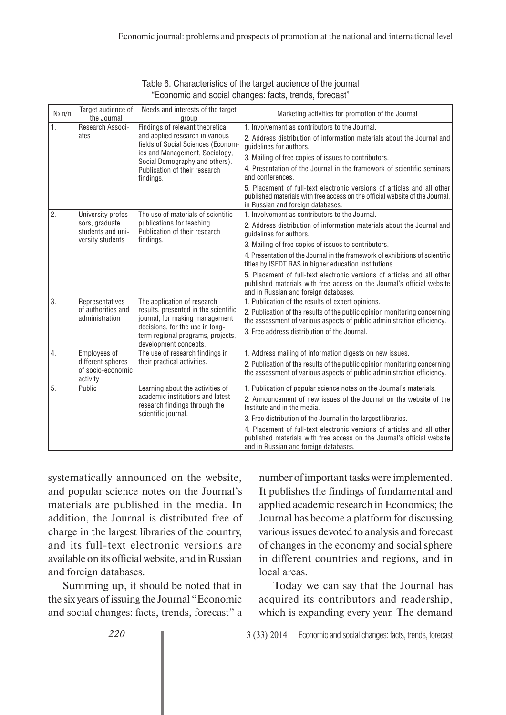| $N_{\mathfrak{D}}$ n/n | Target audience of<br>the Journal                                             | Needs and interests of the target<br>group                                                                                                                                                                                  | Marketing activities for promotion of the Journal                                                                                                                                                                                                                                                                                                                                                                                                                                                                                                  |
|------------------------|-------------------------------------------------------------------------------|-----------------------------------------------------------------------------------------------------------------------------------------------------------------------------------------------------------------------------|----------------------------------------------------------------------------------------------------------------------------------------------------------------------------------------------------------------------------------------------------------------------------------------------------------------------------------------------------------------------------------------------------------------------------------------------------------------------------------------------------------------------------------------------------|
| 1.                     | Research Associ-<br>ates                                                      | Findings of relevant theoretical<br>and applied research in various<br>fields of Social Sciences (Econom-<br>ics and Management, Sociology,<br>Social Demography and others).<br>Publication of their research<br>findings. | 1. Involvement as contributors to the Journal.<br>2. Address distribution of information materials about the Journal and<br>quidelines for authors.<br>3. Mailing of free copies of issues to contributors.<br>4. Presentation of the Journal in the framework of scientific seminars<br>and conferences.<br>5. Placement of full-text electronic versions of articles and all other<br>published materials with free access on the official website of the Journal,<br>in Russian and foreign databases.                                          |
| $\overline{2}$ .       | University profes-<br>sors, graduate<br>students and uni-<br>versity students | The use of materials of scientific<br>publications for teaching.<br>Publication of their research<br>findings.                                                                                                              | 1. Involvement as contributors to the Journal.<br>2. Address distribution of information materials about the Journal and<br>quidelines for authors.<br>3. Mailing of free copies of issues to contributors.<br>4. Presentation of the Journal in the framework of exhibitions of scientific<br>titles by ISEDT RAS in higher education institutions.<br>5. Placement of full-text electronic versions of articles and all other<br>published materials with free access on the Journal's official website<br>and in Russian and foreign databases. |
| 3.                     | Representatives<br>of authorities and<br>administration                       | The application of research<br>results, presented in the scientific<br>journal, for making management<br>decisions, for the use in long-<br>term regional programs, projects,<br>development concepts.                      | 1. Publication of the results of expert opinions.<br>2. Publication of the results of the public opinion monitoring concerning<br>the assessment of various aspects of public administration efficiency.<br>3. Free address distribution of the Journal.                                                                                                                                                                                                                                                                                           |
| 4.                     | Employees of<br>different spheres<br>of socio-economic<br>activity            | The use of research findings in<br>their practical activities.                                                                                                                                                              | 1. Address mailing of information digests on new issues.<br>2. Publication of the results of the public opinion monitoring concerning<br>the assessment of various aspects of public administration efficiency.                                                                                                                                                                                                                                                                                                                                    |
| 5.                     | Public                                                                        | Learning about the activities of<br>academic institutions and latest<br>research findings through the<br>scientific journal.                                                                                                | 1. Publication of popular science notes on the Journal's materials.<br>2. Announcement of new issues of the Journal on the website of the<br>Institute and in the media.<br>3. Free distribution of the Journal in the largest libraries.<br>4. Placement of full-text electronic versions of articles and all other<br>published materials with free access on the Journal's official website<br>and in Russian and foreign databases.                                                                                                            |

Table 6. Characteristics of the target audience of the journal "Economic and social changes: facts, trends, forecast"

systematically announced on the website, and popular science notes on the Journal's materials are published in the media. In addition, the Journal is distributed free of charge in the largest libraries of the country, and its full-text electronic versions are available on its official website, and in Russian and foreign databases.

Summing up, it should be noted that in the six years of issuing the Journal "Economic and social changes: facts, trends, forecast" a

number of important tasks were implemented. It publishes the findings of fundamental and applied academic research in Economics; the Journal has become a platform for discussing various issues devoted to analysis and forecast of changes in the economy and social sphere in different countries and regions, and in local areas.

Today we can say that the Journal has acquired its contributors and readership, which is expanding every year. The demand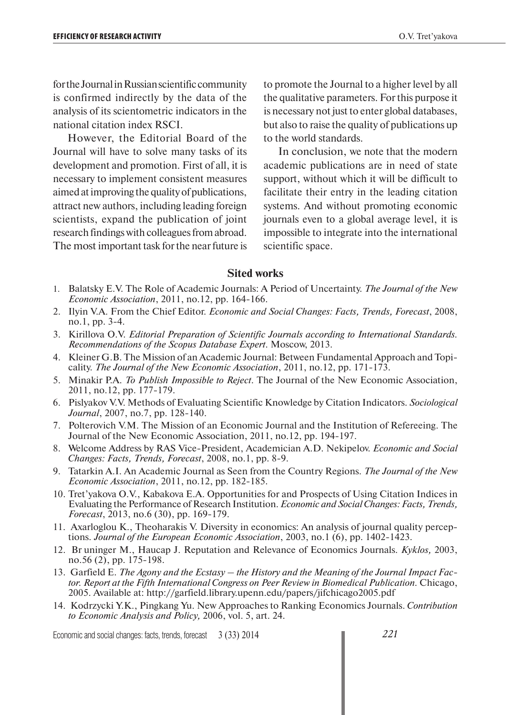for the Journal in Russian scientific community is confirmed indirectly by the data of the analysis of its scientometric indicators in the national citation index RSCI.

However, the Editorial Board of the Journal will have to solve many tasks of its development and promotion. First of all, it is necessary to implement consistent measures aimed at improving the quality of publications, attract new authors, including leading foreign scientists, expand the publication of joint research findings with colleagues from abroad. The most important task for the near future is to promote the Journal to a higher level by all the qualitative parameters. For this purpose it is necessary not just to enter global databases, but also to raise the quality of publications up to the world standards.

In conclusion, we note that the modern academic publications are in need of state support, without which it will be difficult to facilitate their entry in the leading citation systems. And without promoting economic journals even to a global average level, it is impossible to integrate into the international scientific space.

### **Sited works**

- 1. Balatsky E.V. The Role of Academic Journals: A Period of Uncertainty. *The Journal of the New Economic Association*, 2011, no.12, pp. 164-166.
- 2. Ilyin V.A. From the Chief Editor. *Economic and Social Changes: Facts, Trends, Forecast*, 2008, no.1, pp. 3-4.
- 3. Kirillova O.V. *Editorial Preparation of Scientific Journals according to International Standards. Recommendations of the Scopus Database Expert*. Moscow, 2013.
- 4. Kleiner G.B. The Mission of an Academic Journal: Between Fundamental Approach and Topicality. *The Journal of the New Economic Association*, 2011, no.12, pp. 171-173.
- 5. Minakir P.A. *To Publish Impossible to Reject*. The Journal of the New Economic Association, 2011, no.12, pp. 177-179.
- 6. Pislyakov V.V. Methods of Evaluating Scientific Knowledge by Citation Indicators. *Sociological Journal*, 2007, no.7, pp. 128-140.
- 7. Polterovich V.M. The Mission of an Economic Journal and the Institution of Refereeing. The Journal of the New Economic Association, 2011, no.12, pp. 194-197.
- 8. Welcome Address by RAS Vice-President, Academician A.D. Nekipelov. *Economic and Social Changes: Facts, Trends, Forecast*, 2008, no.1, pp. 8-9.
- 9. Tatarkin A.I. An Academic Journal as Seen from the Country Regions. *The Journal of the New Economic Association*, 2011, no.12, pp. 182-185.
- 10. Tret'yakova O.V., Kabakova E.A. Opportunities for and Prospects of Using Citation Indices in Evaluating the Performance of Research Institution. *Economic and Social Changes: Facts, Trends, Forecast*, 2013, no.6 (30), pp. 169-179.
- 11. Axarloglou K., Theoharakis V. Diversity in economics: An analysis of journal quality perceptions. *Journal of the European Economic Association*, 2003, no.1 (6), pp. 1402-1423.
- 12. Br uninger M., Haucap J. Reputation and Relevance of Economics Journals. *Kyklos,* 2003, no.56 (2), pp. 175-198.
- 13. Garfield E. *The Agony and the Ecstasy the History and the Meaning of the Journal Impact Factor. Report at the Fifth International Congress on Peer Review in Biomedical Publication.* Chicago, 2005. Available at: http://garfield.library.upenn.edu/papers/jifchicago2005.pdf
- 14. Kodrzycki Y.K., Pingkang Yu. New Approaches to Ranking Economics Journals. *Contribution to Economic Analysis and Policy,* 2006, vol. 5, art. 24.